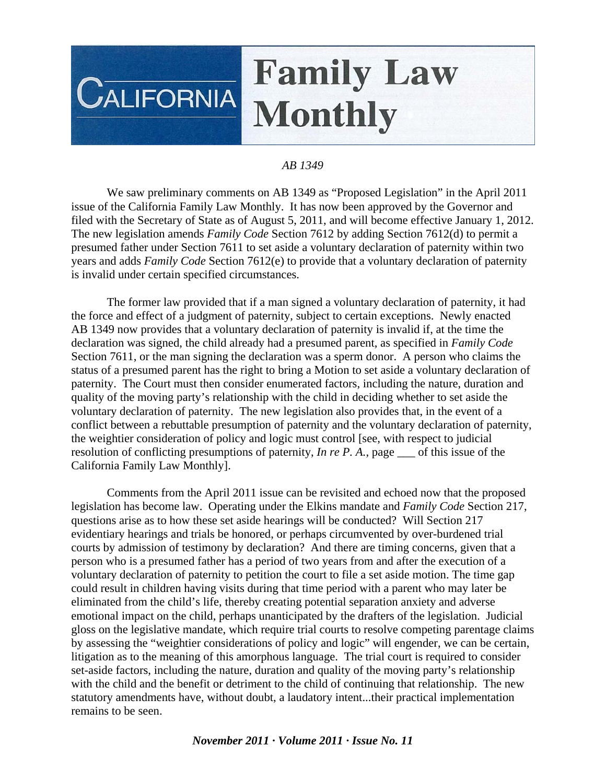## **Family Law CALIFORNIA Monthly**

## *AB 1349*

 We saw preliminary comments on AB 1349 as "Proposed Legislation" in the April 2011 issue of the California Family Law Monthly. It has now been approved by the Governor and filed with the Secretary of State as of August 5, 2011, and will become effective January 1, 2012. The new legislation amends *Family Code* Section 7612 by adding Section 7612(d) to permit a presumed father under Section 7611 to set aside a voluntary declaration of paternity within two years and adds *Family Code* Section 7612(e) to provide that a voluntary declaration of paternity is invalid under certain specified circumstances.

 The former law provided that if a man signed a voluntary declaration of paternity, it had the force and effect of a judgment of paternity, subject to certain exceptions. Newly enacted AB 1349 now provides that a voluntary declaration of paternity is invalid if, at the time the declaration was signed, the child already had a presumed parent, as specified in *Family Code* Section 7611, or the man signing the declaration was a sperm donor. A person who claims the status of a presumed parent has the right to bring a Motion to set aside a voluntary declaration of paternity. The Court must then consider enumerated factors, including the nature, duration and quality of the moving party's relationship with the child in deciding whether to set aside the voluntary declaration of paternity. The new legislation also provides that, in the event of a conflict between a rebuttable presumption of paternity and the voluntary declaration of paternity, the weightier consideration of policy and logic must control [see, with respect to judicial resolution of conflicting presumptions of paternity, *In re P. A.*, page of this issue of the California Family Law Monthly].

 Comments from the April 2011 issue can be revisited and echoed now that the proposed legislation has become law. Operating under the Elkins mandate and *Family Code* Section 217, questions arise as to how these set aside hearings will be conducted? Will Section 217 evidentiary hearings and trials be honored, or perhaps circumvented by over-burdened trial courts by admission of testimony by declaration? And there are timing concerns, given that a person who is a presumed father has a period of two years from and after the execution of a voluntary declaration of paternity to petition the court to file a set aside motion. The time gap could result in children having visits during that time period with a parent who may later be eliminated from the child's life, thereby creating potential separation anxiety and adverse emotional impact on the child, perhaps unanticipated by the drafters of the legislation. Judicial gloss on the legislative mandate, which require trial courts to resolve competing parentage claims by assessing the "weightier considerations of policy and logic" will engender, we can be certain, litigation as to the meaning of this amorphous language. The trial court is required to consider set-aside factors, including the nature, duration and quality of the moving party's relationship with the child and the benefit or detriment to the child of continuing that relationship. The new statutory amendments have, without doubt, a laudatory intent...their practical implementation remains to be seen.